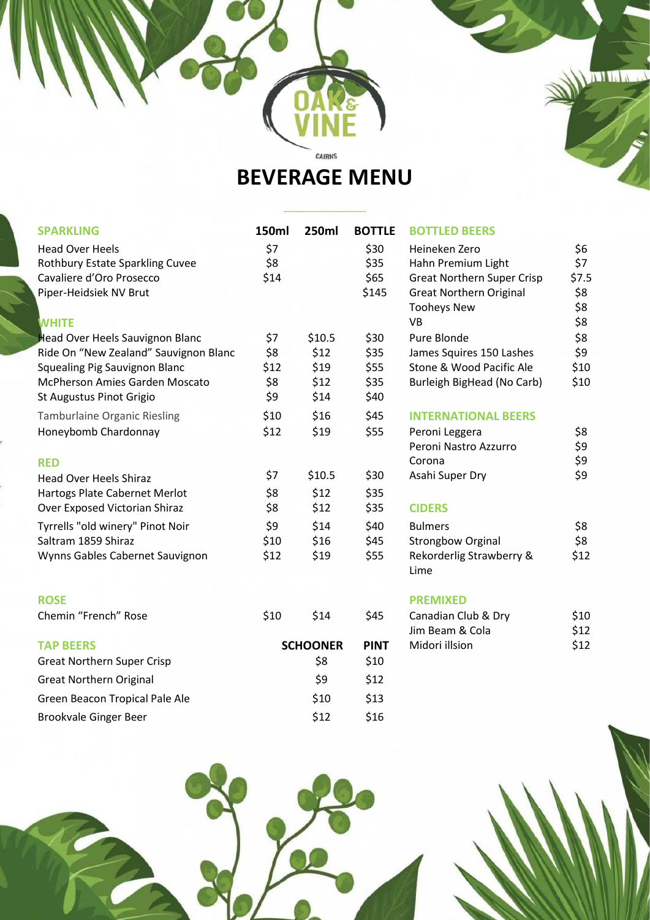**BEVERAGE MENU**

CAIRNS

**\_\_\_\_\_\_\_\_\_\_\_\_\_\_\_\_\_\_\_**

| <b>SPARKLING</b>                                                              | 150ml       | <b>250ml</b>    | <b>BOTTLE</b> | <b>BOTTLED BEERS</b>                                 |              |
|-------------------------------------------------------------------------------|-------------|-----------------|---------------|------------------------------------------------------|--------------|
| <b>Head Over Heels</b>                                                        | \$7         |                 | \$30          | Heineken Zero                                        | \$6          |
| Rothbury Estate Sparkling Cuvee                                               | \$8         |                 | \$35          | Hahn Premium Light                                   | \$7          |
| Cavaliere d'Oro Prosecco                                                      | \$14        |                 | \$65          | <b>Great Northern Super Crisp</b>                    | \$7.5        |
| Piper-Heidsiek NV Brut                                                        |             |                 | \$145         | <b>Great Northern Original</b>                       | \$8          |
|                                                                               |             |                 |               | <b>Tooheys New</b>                                   | \$8          |
| <b>WHITE</b>                                                                  |             |                 |               | <b>VB</b>                                            | \$8          |
| <b>Head Over Heels Sauvignon Blanc</b>                                        | \$7         | \$10.5          | \$30          | Pure Blonde                                          | \$8          |
| Ride On "New Zealand" Sauvignon Blanc                                         | \$8<br>\$12 | \$12<br>\$19    | \$35<br>\$55  | James Squires 150 Lashes<br>Stone & Wood Pacific Ale | \$9<br>\$10  |
| <b>Squealing Pig Sauvignon Blanc</b><br><b>McPherson Amies Garden Moscato</b> | \$8         | \$12            | \$35          | Burleigh BigHead (No Carb)                           | \$10         |
| St Augustus Pinot Grigio                                                      | \$9         | \$14            | \$40          |                                                      |              |
| <b>Tamburlaine Organic Riesling</b>                                           | \$10        | \$16            | \$45          | <b>INTERNATIONAL BEERS</b>                           |              |
| Honeybomb Chardonnay                                                          | \$12        | \$19            | \$55          | Peroni Leggera                                       | \$8          |
|                                                                               |             |                 |               | Peroni Nastro Azzurro                                | \$9          |
| <b>RED</b>                                                                    |             |                 |               | Corona                                               | \$9          |
| <b>Head Over Heels Shiraz</b>                                                 | \$7         | \$10.5          | \$30          | Asahi Super Dry                                      | \$9          |
| Hartogs Plate Cabernet Merlot                                                 | \$8         | \$12            | \$35          |                                                      |              |
| Over Exposed Victorian Shiraz                                                 | \$8         | \$12            | \$35          | <b>CIDERS</b>                                        |              |
| Tyrrells "old winery" Pinot Noir                                              | \$9         | \$14            | \$40          | <b>Bulmers</b>                                       | \$8          |
| Saltram 1859 Shiraz                                                           | \$10        | \$16            | \$45          | <b>Strongbow Orginal</b>                             | \$8          |
| Wynns Gables Cabernet Sauvignon                                               | \$12        | \$19            | \$55          | Rekorderlig Strawberry &                             | \$12         |
|                                                                               |             |                 |               | Lime                                                 |              |
|                                                                               |             |                 |               |                                                      |              |
| <b>ROSE</b>                                                                   |             |                 |               | <b>PREMIXED</b>                                      |              |
| Chemin "French" Rose                                                          | \$10        | \$14            | \$45          | Canadian Club & Dry<br>Jim Beam & Cola               | \$10         |
| <b>TAP BEERS</b>                                                              |             | <b>SCHOONER</b> | <b>PINT</b>   | Midori illsion                                       | \$12<br>\$12 |
| <b>Great Northern Super Crisp</b>                                             |             | \$8             | \$10          |                                                      |              |
|                                                                               |             |                 |               |                                                      |              |
| <b>Great Northern Original</b>                                                |             | \$9             | \$12          |                                                      |              |
| Green Beacon Tropical Pale Ale                                                |             | \$10            | \$13          |                                                      |              |
| Brookvale Ginger Beer                                                         |             | \$12            | \$16          |                                                      |              |
|                                                                               |             |                 |               |                                                      |              |



**I'd I'll War**